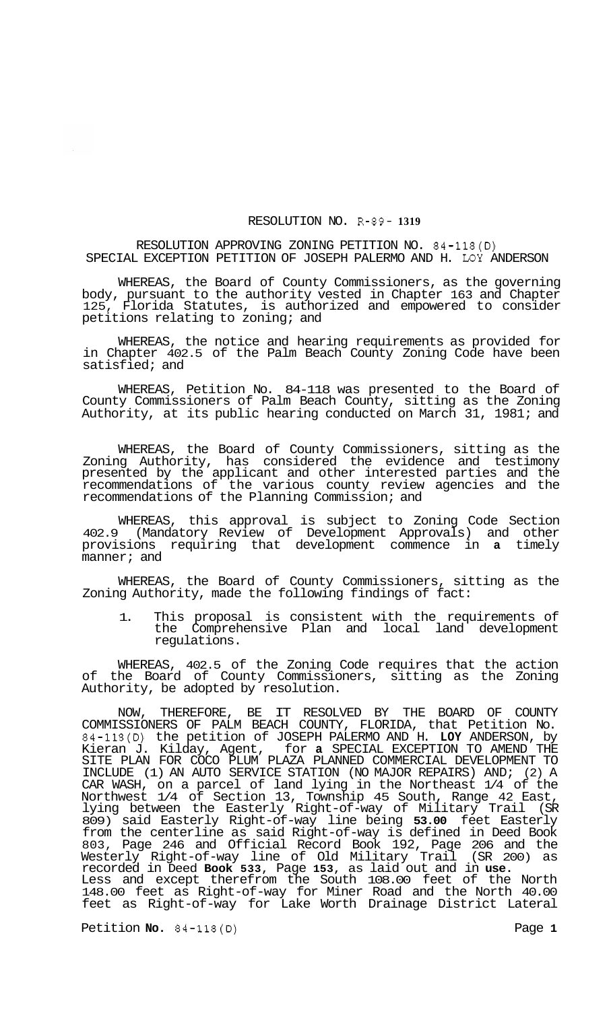## RESOLUTION NO. R-89- **1319**

RESOLUTION APPROVING ZONING PETITION NO. 84-118(D) SPECIAL EXCEPTION PETITION OF JOSEPH PALERMO AND H. **LOY** ANDERSON

WHEREAS, the Board of County Commissioners, as the governing body, pursuant to the authority vested in Chapter 163 and Chapter 125, Florida Statutes, is authorized and empowered to consider petitions relating to zoning; and

WHEREAS, the notice and hearing requirements as provided for in Chapter 402.5 of the Palm Beach County Zoning Code have been satisfied; and

WHEREAS, Petition No. 84-118 was presented to the Board of County Commissioners of Palm Beach County, sitting as the Zoning Authority, at its public hearing conducted on March 31, 1981; and

WHEREAS, the Board of County Commissioners, sitting as the Zoning Authority, has considered the evidence and testimony presented by the applicant and other interested parties and the recommendations of the various county review agencies and the recommendations of the Planning Commission; and

WHEREAS, this approval is subject to Zoning Code Section 402.9 (Mandatory Review of Development Approvals) and other provisions requiring that development commence in **a** timely manner; and

WHEREAS, the Board of County Commissioners, sitting as the Zoning Authority, made the following findings of fact:

1. This proposal is consistent with the requirements of the Comprehensive Plan and local land development regulations.

WHEREAS, 402.5 of the Zoning Code requires that the action of the Board of County Commissioners, sitting as the Zoning Authority, be adopted by resolution.

NOW, THEREFORE, BE IT RESOLVED BY THE BOARD OF COUNTY COMMISSIONERS OF PALM BEACH COUNTY, FLORIDA, that Petition No. 84-118(D) the petition of JOSEPH PALERMO AND H. **LOY** ANDERSON, by Kieran J. Kilday, Agent, for **a** SPECIAL EXCEPTION TO AMEND THE SITE PLAN FOR COCO PLUM PLAZA PLANNED COMMERCIAL DEVELOPMENT TO INCLUDE (1) AN AUTO SERVICE STATION (NO MAJOR REPAIRS) AND; (2) A CAR WASH, on a parcel of land lying in the Northeast 1/4 of the Northwest 1/4 of Section 13, Township 45 South, Range 42 East, lying between the Easterly Right-of-way of Military Trail (SR 809) said Easterly Right-of-way line being **53.00** feet Easterly from the centerline as said Right-of-way is defined in Deed Book 803, Page 246 and Official Record Book 192, Page 206 and the Westerly Right-of-way line of Old Military Trail (SR 200) as recorded in Deed **Book 533,** Page **153,** as laid out and in **use.**  Less and except therefrom the South 108.00 feet of the North 148.00 feet as Right-of-way for Miner Road and the North 40.00 feet as Right-of-way for Lake Worth Drainage District Lateral

Petition **No.** 84-118(D) Page **1**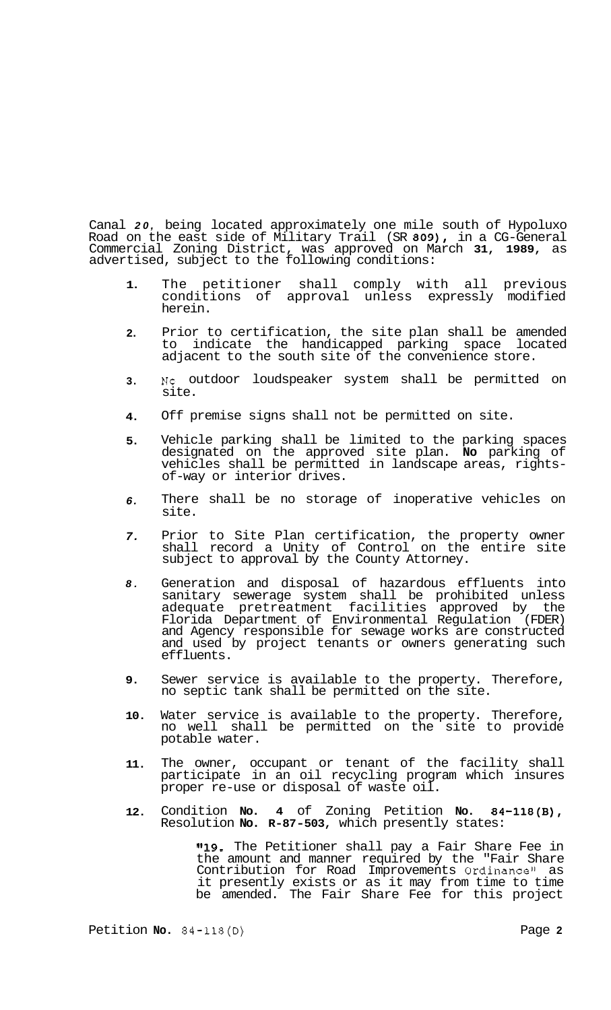Canal *20,* being located approximately one mile south of Hypoluxo Road on the east side of Military Trail (SR **809),** in a CG-General Commercial Zoning District, was approved on March **31, 1989,** as advertised, subject to the following conditions:

- **1.**  The petitioner shall comply with all previous conditions of approval unless expressly modified herein.
- **2.**  Prior to certification, the site plan shall be amended<br>to indicate the handicapped parking space located to indicate the handicapped parking space adjacent to the south site of the convenience store.
- **3. NO** outdoor loudspeaker system shall be permitted on site.
- **4.**  Off premise signs shall not be permitted on site.
- **5.**  Vehicle parking shall be limited to the parking spaces designated on the approved site plan. **No** parking of vehicles shall be permitted in landscape areas, rights- of-way or interior drives.
- *6.*  There shall be no storage of inoperative vehicles on site.
- *7.*  Prior to Site Plan certification, the property owner shall record a Unity of Control on the entire site subject to approval by the County Attorney.
- *8.*  Generation and disposal of hazardous effluents into sanitary sewerage system shall be prohibited unless adequate pretreatment facilities approved by the Florida Department of Environmental Regulation (FDER) and Agency responsible for sewage works are constructed and used by project tenants or owners generating such effluents.
- **9.**  Sewer service is available to the property. Therefore, no septic tank shall be permitted on the site.
- **10.**  Water service is available to the property. Therefore, no well shall be permitted on the site to provide potable water.
- **11.**  The owner, occupant or tenant of the facility shall participate in an oil recycling program which insures proper re-use or disposal of waste oil.
- **12.**  Condition **No. 4** of Zoning Petition **No. 84-118(B),**  Resolution **No. R-87-503,** which presently states:

**"19.** The Petitioner shall pay a Fair Share Fee in the amount and manner required by the "Fair Share Contribution for Road Improvements Ordinance" as it presently exists or as it may from time to time be amended. The Fair Share Fee for this project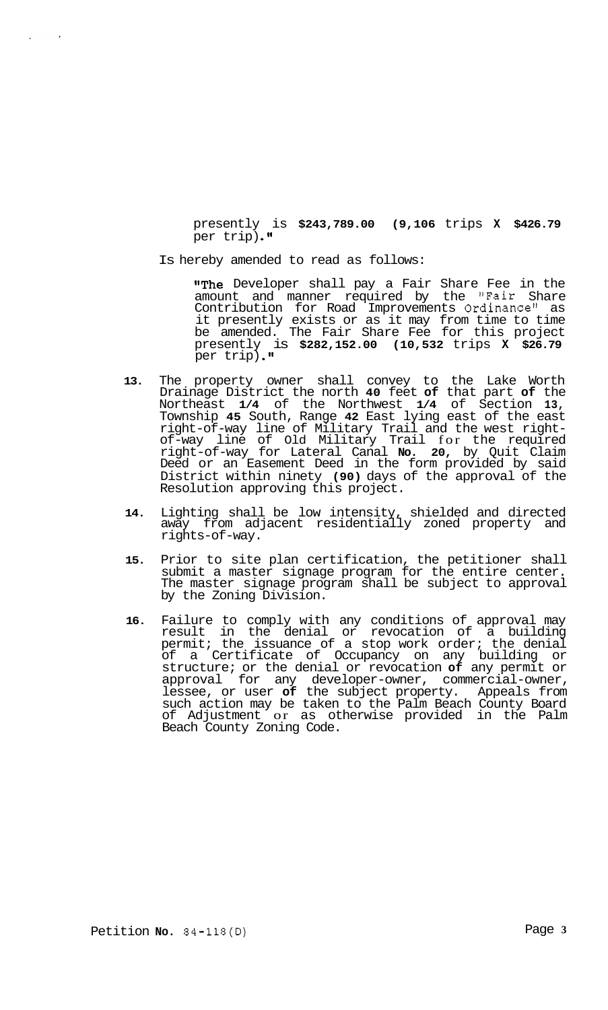presently is **\$243,789.00 (9,106** trips **X \$426.79**  per trip).<sup>"</sup>

Is hereby amended to read as follows:

 $\sim$   $\star$ 

 $\mathbf{r}$ 

"The Developer shall pay a Fair Share Fee in the amount and manner required by the "Fair Share Contribution for Road Improvements Ordinance1\* as it presently exists or as it may from time to time be amended. The Fair Share Fee for this project presently is **\$282,152.00 (10,532** trips **X \$26.79**  per trip) **.I1** 

- **13.** The property owner shall convey to the Lake Worth Drainage District the north **40** feet **of** that part **of** the Northeast **1/4** of the Northwest **1/4** of Section **13,**  Township **45** South, Range **42** East lying east of the east right-of-way line of Military Trail and the west rightof-way line of Old Military Trail for the required right-of-way for Lateral Canal **No. 20,** by Quit Claim Deed or an Easement Deed in the form provided by said District within ninety **(90)** days of the approval of the Resolution approving this project.
- **14.** Lighting shall be low intensity, shielded and directed away from adjacent residentially zoned property and rights-of-way.
- **15.** Prior to site plan certification, the petitioner shall submit a master signage program for the entire center. The master signage program shall be subject to approval by the Zoning Division.
- **16.** Failure to comply with any conditions of approval may result in the denial or revocation of a building permit; the issuance of a stop work order; the denial of a Certificate of Occupancy on any building or structure; or the denial or revocation **of** any permit or approval for any developer-owner, commercial-owner, lessee, or user **of** the subject property. Appeals from such action may be taken to the Palm Beach County Board of Adjustment or as otherwise provided in the Palm Beach County Zoning Code.